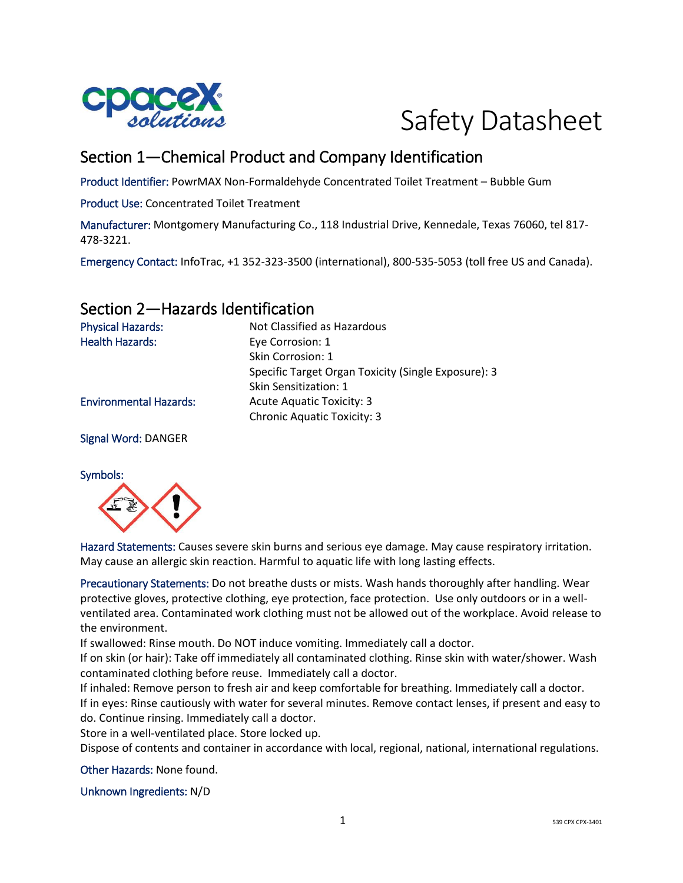

# Safety Datasheet

# Section 1—Chemical Product and Company Identification

Product Identifier: PowrMAX Non-Formaldehyde Concentrated Toilet Treatment – Bubble Gum

Product Use: Concentrated Toilet Treatment

Manufacturer: Montgomery Manufacturing Co., 118 Industrial Drive, Kennedale, Texas 76060, tel 817- 478-3221.

Emergency Contact: InfoTrac, +1 352-323-3500 (international), 800-535-5053 (toll free US and Canada).

#### Section 2—Hazards Identification

| <b>Physical Hazards:</b>      | Not Classified as Hazardous                         |
|-------------------------------|-----------------------------------------------------|
| <b>Health Hazards:</b>        | Eye Corrosion: 1                                    |
|                               | Skin Corrosion: 1                                   |
|                               | Specific Target Organ Toxicity (Single Exposure): 3 |
|                               | Skin Sensitization: 1                               |
| <b>Environmental Hazards:</b> | Acute Aquatic Toxicity: 3                           |
|                               | <b>Chronic Aquatic Toxicity: 3</b>                  |
| <b>Signal Word: DANGER</b>    |                                                     |



Hazard Statements: Causes severe skin burns and serious eye damage. May cause respiratory irritation. May cause an allergic skin reaction. Harmful to aquatic life with long lasting effects.

Precautionary Statements: Do not breathe dusts or mists. Wash hands thoroughly after handling. Wear protective gloves, protective clothing, eye protection, face protection. Use only outdoors or in a wellventilated area. Contaminated work clothing must not be allowed out of the workplace. Avoid release to the environment.

If swallowed: Rinse mouth. Do NOT induce vomiting. Immediately call a doctor.

If on skin (or hair): Take off immediately all contaminated clothing. Rinse skin with water/shower. Wash contaminated clothing before reuse. Immediately call a doctor.

If inhaled: Remove person to fresh air and keep comfortable for breathing. Immediately call a doctor. If in eyes: Rinse cautiously with water for several minutes. Remove contact lenses, if present and easy to do. Continue rinsing. Immediately call a doctor.

Store in a well-ventilated place. Store locked up.

Dispose of contents and container in accordance with local, regional, national, international regulations.

Other Hazards: None found.

Unknown Ingredients: N/D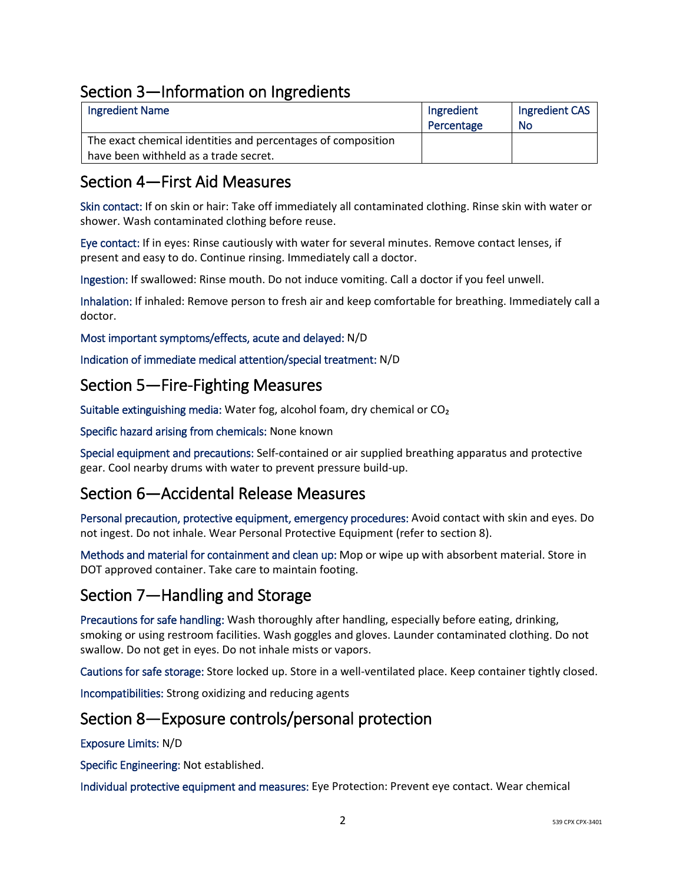### Section 3—Information on Ingredients

| <b>Ingredient Name</b>                                       | Ingredient | Ingredient CAS |
|--------------------------------------------------------------|------------|----------------|
|                                                              | Percentage | No             |
| The exact chemical identities and percentages of composition |            |                |
| have been withheld as a trade secret.                        |            |                |

#### Section 4—First Aid Measures

Skin contact: If on skin or hair: Take off immediately all contaminated clothing. Rinse skin with water or shower. Wash contaminated clothing before reuse.

Eye contact: If in eyes: Rinse cautiously with water for several minutes. Remove contact lenses, if present and easy to do. Continue rinsing. Immediately call a doctor.

Ingestion: If swallowed: Rinse mouth. Do not induce vomiting. Call a doctor if you feel unwell.

Inhalation: If inhaled: Remove person to fresh air and keep comfortable for breathing. Immediately call a doctor.

Most important symptoms/effects, acute and delayed: N/D

Indication of immediate medical attention/special treatment: N/D

#### Section 5—Fire-Fighting Measures

Suitable extinguishing media: Water fog, alcohol foam, dry chemical or CO₂

Specific hazard arising from chemicals: None known

Special equipment and precautions: Self-contained or air supplied breathing apparatus and protective gear. Cool nearby drums with water to prevent pressure build-up.

#### Section 6—Accidental Release Measures

Personal precaution, protective equipment, emergency procedures: Avoid contact with skin and eyes. Do not ingest. Do not inhale. Wear Personal Protective Equipment (refer to section 8).

Methods and material for containment and clean up: Mop or wipe up with absorbent material. Store in DOT approved container. Take care to maintain footing.

#### Section 7—Handling and Storage

Precautions for safe handling: Wash thoroughly after handling, especially before eating, drinking, smoking or using restroom facilities. Wash goggles and gloves. Launder contaminated clothing. Do not swallow. Do not get in eyes. Do not inhale mists or vapors.

Cautions for safe storage: Store locked up. Store in a well-ventilated place. Keep container tightly closed.

Incompatibilities: Strong oxidizing and reducing agents

#### Section 8—Exposure controls/personal protection

Exposure Limits: N/D

Specific Engineering: Not established.

Individual protective equipment and measures: Eye Protection: Prevent eye contact. Wear chemical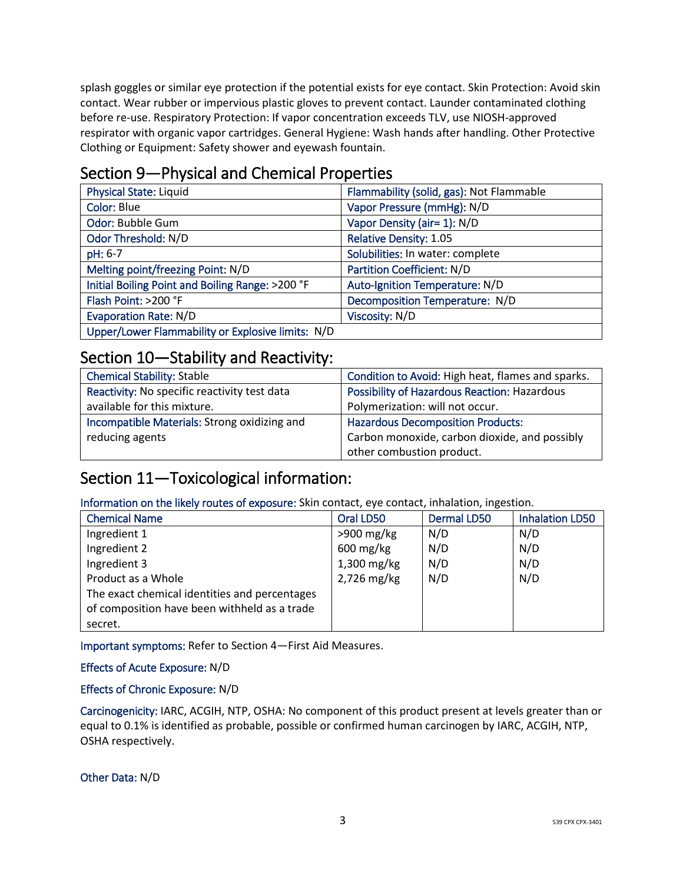splash goggles or similar eye protection if the potential exists for eye contact. Skin Protection: Avoid skin contact. Wear rubber or impervious plastic gloves to prevent contact. Launder contaminated clothing before re-use. Respiratory Protection: If vapor concentration exceeds TLV, use NIOSH-approved respirator with organic vapor cartridges. General Hygiene: Wash hands after handling. Other Protective Clothing or Equipment: Safety shower and eyewash fountain.

## Section 9—Physical and Chemical Properties

| <b>Physical State: Liquid</b>                     | Flammability (solid, gas): Not Flammable |
|---------------------------------------------------|------------------------------------------|
| Color: Blue                                       | Vapor Pressure (mmHg): N/D               |
| Odor: Bubble Gum                                  | Vapor Density (air= 1): N/D              |
| Odor Threshold: N/D                               | <b>Relative Density: 1.05</b>            |
| pH: 6-7                                           | Solubilities: In water: complete         |
| Melting point/freezing Point: N/D                 | <b>Partition Coefficient: N/D</b>        |
| Initial Boiling Point and Boiling Range: >200 °F  | Auto-Ignition Temperature: N/D           |
| Flash Point: >200 °F                              | Decomposition Temperature: N/D           |
| <b>Evaporation Rate: N/D</b>                      | Viscosity: N/D                           |
| Upper/Lower Flammability or Explosive limits: N/D |                                          |

#### Section 10—Stability and Reactivity:

| <b>Chemical Stability: Stable</b>            | Condition to Avoid: High heat, flames and sparks.   |
|----------------------------------------------|-----------------------------------------------------|
| Reactivity: No specific reactivity test data | <b>Possibility of Hazardous Reaction: Hazardous</b> |
| available for this mixture.                  | Polymerization: will not occur.                     |
| Incompatible Materials: Strong oxidizing and | <b>Hazardous Decomposition Products:</b>            |
| reducing agents                              | Carbon monoxide, carbon dioxide, and possibly       |
|                                              | other combustion product.                           |

# Section 11—Toxicological information:

Information on the likely routes of exposure: Skin contact, eye contact, inhalation, ingestion.

| <b>Chemical Name</b>                          | Oral LD50              | <b>Dermal LD50</b> | <b>Inhalation LD50</b> |
|-----------------------------------------------|------------------------|--------------------|------------------------|
| Ingredient 1                                  | $>900$ mg/kg           | N/D                | N/D                    |
| Ingredient 2                                  | $600 \,\mathrm{mg/kg}$ | N/D                | N/D                    |
| Ingredient 3                                  | $1,300$ mg/kg          | N/D                | N/D                    |
| Product as a Whole                            | 2,726 mg/kg            | N/D                | N/D                    |
| The exact chemical identities and percentages |                        |                    |                        |
| of composition have been withheld as a trade  |                        |                    |                        |
| secret.                                       |                        |                    |                        |

Important symptoms: Refer to Section 4—First Aid Measures.

#### Effects of Acute Exposure: N/D

#### Effects of Chronic Exposure: N/D

Carcinogenicity: IARC, ACGIH, NTP, OSHA: No component of this product present at levels greater than or equal to 0.1% is identified as probable, possible or confirmed human carcinogen by IARC, ACGIH, NTP, OSHA respectively.

Other Data: N/D